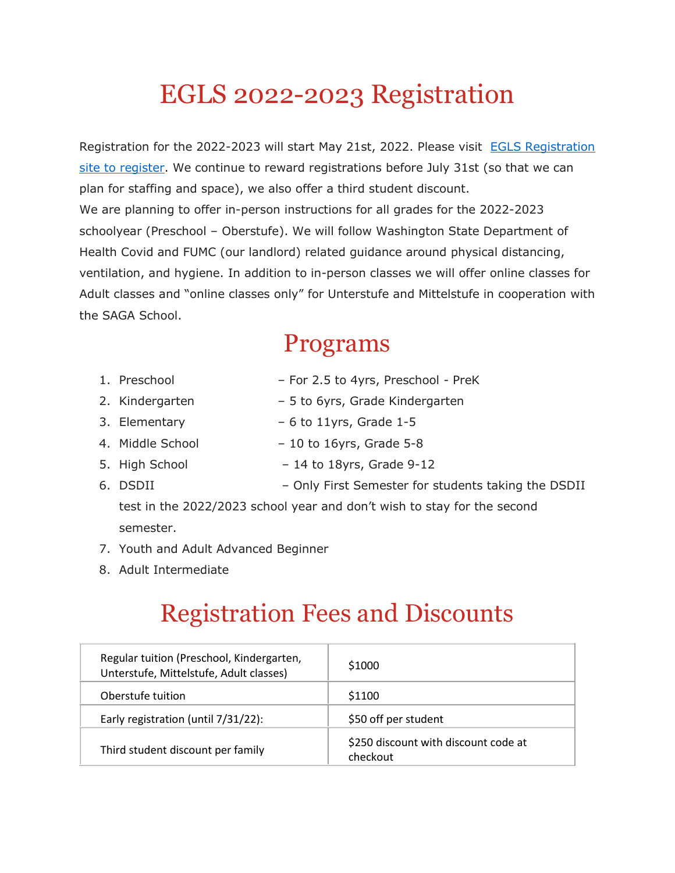## EGLS 2022-2023 Registration

Registration for the 2022-2023 will start May 21st, 2022. Please visit [EGLS Registration](https://wp.egls.us/admission/registration-forms/)  site [to register.](https://wp.egls.us/admission/registration-forms/) We continue to reward registrations before July 31st (so that we can plan for staffing and space), we also offer a third student discount. We are planning to offer in-person instructions for all grades for the 2022-2023 schoolyear (Preschool – Oberstufe). We will follow Washington State Department of Health Covid and FUMC (our landlord) related guidance around physical distancing, ventilation, and hygiene. In addition to in-person classes we will offer online classes for Adult classes and "online classes only" for Unterstufe and Mittelstufe in cooperation with the SAGA School.

#### Programs

- 1. Preschool For 2.5 to 4yrs, Preschool PreK
- 2. Kindergarten 5 to 6yrs, Grade Kindergarten
- 3. Elementary  $-6$  to 11yrs, Grade 1-5
- 4. Middle School 10 to 16yrs, Grade 5-8
- 5. High School 14 to 18yrs, Grade 9-12
- 6. DSDII Only First Semester for students taking the DSDII

test in the 2022/2023 school year and don't wish to stay for the second semester.

- 7. Youth and Adult Advanced Beginner
- 8. Adult Intermediate

### Registration Fees and Discounts

| Regular tuition (Preschool, Kindergarten,<br>Unterstufe, Mittelstufe, Adult classes) | \$1000                                           |  |
|--------------------------------------------------------------------------------------|--------------------------------------------------|--|
| Oberstufe tuition                                                                    | \$1100                                           |  |
| Early registration (until 7/31/22):                                                  | \$50 off per student                             |  |
| Third student discount per family                                                    | \$250 discount with discount code at<br>checkout |  |